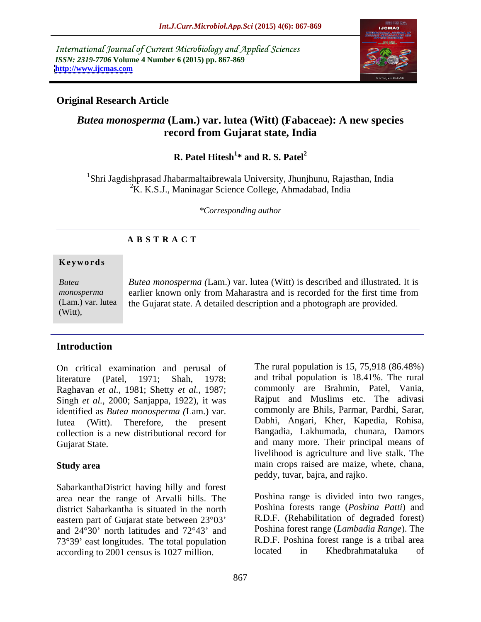International Journal of Current Microbiology and Applied Sciences *ISSN: 2319-7706* **Volume 4 Number 6 (2015) pp. 867-869 <http://www.ijcmas.com>**



# **Original Research Article**

# *Butea monosperma* **(Lam.) var. lutea (Witt) (Fabaceae): A new species record from Gujarat state, India**

### **R.** Patel Hitesh<sup>1\*</sup> and R. S. Patel<sup>2</sup> **\* and R. S. Patel<sup>2</sup>**

1Shri Jagdishprasad Jhabarmaltaibrewala University, Jhunjhunu, Rajasthan, India  ${}^{2}$ K. K.S.J., Maninagar Science College, Ahmadabad, India

*\*Corresponding author*

# **A B S T R A C T**

## **Ke ywo rds**

(Witt),

*Butea monosperma (*Lam.) var. lutea (Witt) is described and illustrated. It is *Butea monosperma* earlier known only from Maharastra and is recorded for the first time from (Lam.) var. lutea hthe Gujarat state. A detailed description and a photograph are provided.

# **Introduction**

On critical examination and perusal of literature (Patel, 1971; Shah, 1978; and tribal population is 18.41%. The rural Raghavan *et al.*, 1981; Shetty *et al.*, 1987; Singh *et al.*, 2000; Sanjappa, 1922), it was identified as *Butea monosperma (*Lam.) var. lutea (Witt). Therefore, the present Dabhi, Angari, Kher, Kapedia, Rohisa, collection is a new distributional record for

SabarkanthaDistrict having hilly and forest area near the range of Arvalli hills. The district Sabarkantha is situated in the north eastern part of Gujarat state between 23°03 and  $24^{\circ}30'$  north latitudes and  $72^{\circ}43'$  and 73°39' east longitudes. The total population TR.D.F. Poshina forest range is a tribal area<br>according to 2001 census is 1027 million and located in Khedbrahmataluka of according to 2001 census is 1027 million.

Gujarat State. and many more. Their principal means of **Study area** main crops raised are maize, whete, chana, The rural population is 15, 75,918 (86.48%) commonly are Brahmin, Patel, Vania, Rajput and Muslims etc. The adivasi commonly are Bhils, Parmar, Pardhi, Sarar, Bangadia, Lakhumada, chunara, Damors livelihood is agriculture and live stalk. The peddy, tuvar, bajra, and rajko.

> Poshina range is divided into two ranges, Poshina forests range (*Poshina Patti*) and R.D.F. (Rehabilitation of degraded forest) Poshina forest range (*Lambadia Range*). The R.D.F. Poshina forest range is a tribal area located in Khedbrahmataluka of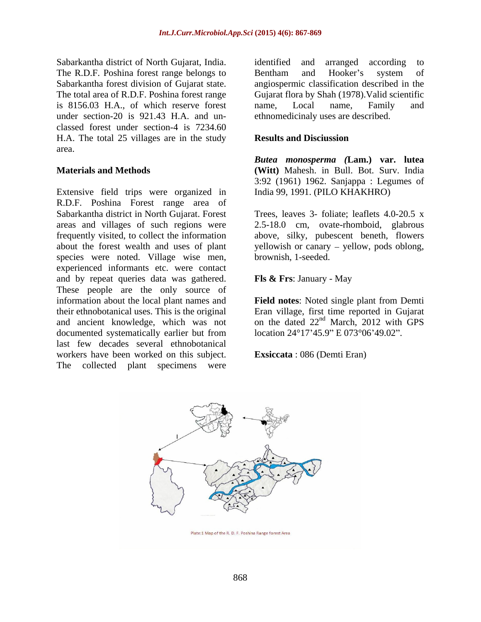Sabarkantha district of North Gujarat, India. The R.D.F. Poshina forest range belongs to Bentham and Hooker's system of is 8156.03 H.A., of which reserve forest under section-20 is 921.43 H.A. and un classed forest under section-4 is 7234.60 H.A. The total 25 villages are in the study **Results and Disciussion** area.

Extensive field trips were organized in R.D.F. Poshina Forest range area of Sabarkantha district in North Gujarat. Forest areas and villages of such regions were 2.5-18.0 cm, ovate-rhomboid, glabrous frequently visited, to collect the information above, silky, pubescent beneth, flowers about the forest wealth and uses of plant yellowish or canary – yellow, pods oblong, species were noted. Village wise men, experienced informants etc. were contact and by repeat queries data was gathered. These people are the only source of information about the local plant names and **Field notes**: Noted single plant from Demti their ethnobotanical uses. This is the original Eran village, first time reported in Gujarat and ancient knowledge, which was not on the dated  $22<sup>nd</sup>$  March, 2012 with GPS documented systematically earlier but from last few decades several ethnobotanical workers have been worked on this subject. The collected plant specimens were

Sabarkantha forest division of Gujarat state. angiospermic classification described in the The total area of R.D.F. Poshina forest range Gujarat flora by Shah (1978).Valid scientific identified and arranged according to Bentham and Hooker's system of name, Local name, Family and ethnomedicinaly uses are described.

# **Results and Disciussion**

**Materials and Methods (Witt)** Mahesh. in Bull. Bot. Surv. India *Butea monosperma (***Lam.) var. lutea** 3:92 (1961) 1962. Sanjappa : Legumes of India 99, 1991. (PILO KHAKHRO)

> Trees, leaves 3- foliate; leaflets 4.0-20.5 x brownish, 1-seeded.

# **Fls & Frs**: January - May

nd March, 2012 with GPS location 24°17'45.9" E 073°06'49.02".

**Exsiccata** : 086 (Demti Eran)